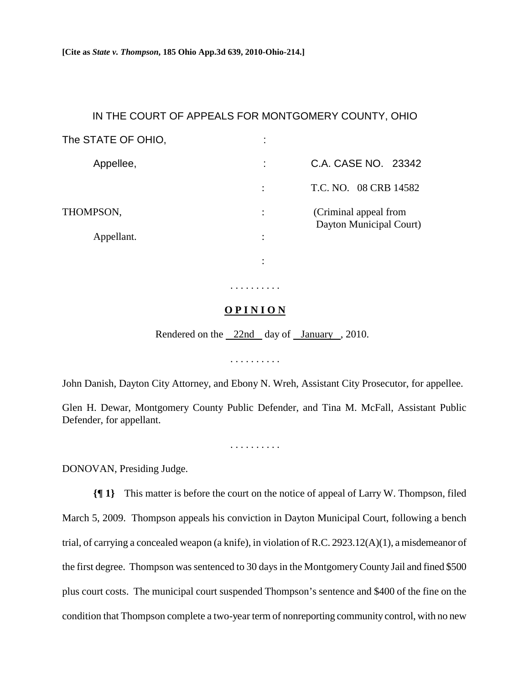## IN THE COURT OF APPEALS FOR MONTGOMERY COUNTY, OHIO

| The STATE OF OHIO, | ٠              |                                                  |
|--------------------|----------------|--------------------------------------------------|
| Appellee,          |                | C.A. CASE NO. 23342                              |
|                    | ÷              | T.C. NO. 08 CRB 14582                            |
| THOMPSON,          | ٠              | (Criminal appeal from<br>Dayton Municipal Court) |
| Appellant.         | ٠<br>$\bullet$ |                                                  |
|                    | ٠              |                                                  |

## **O P I N I O N**

. . . . . . . . . .

Rendered on the 22nd day of January , 2010.

. . . . . . . . . .

John Danish, Dayton City Attorney, and Ebony N. Wreh, Assistant City Prosecutor, for appellee.

Glen H. Dewar, Montgomery County Public Defender, and Tina M. McFall, Assistant Public Defender, for appellant.

. . . . . . . . . .

DONOVAN, Presiding Judge.

**{¶ 1}** This matter is before the court on the notice of appeal of Larry W. Thompson, filed March 5, 2009. Thompson appeals his conviction in Dayton Municipal Court, following a bench trial, of carrying a concealed weapon (a knife), in violation of R.C. 2923.12(A)(1), a misdemeanor of the first degree. Thompson was sentenced to 30 days in the Montgomery County Jail and fined \$500 plus court costs. The municipal court suspended Thompson's sentence and \$400 of the fine on the condition that Thompson complete a two-year term of nonreporting community control, with no new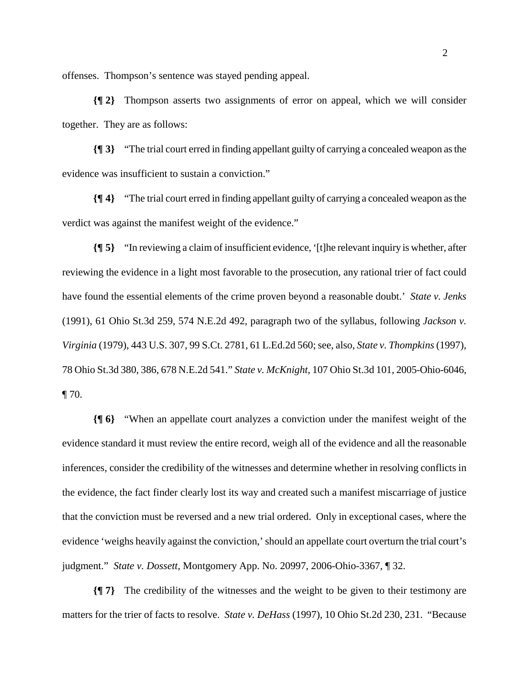offenses. Thompson's sentence was stayed pending appeal.

**{¶ 2}** Thompson asserts two assignments of error on appeal, which we will consider together. They are as follows:

**{¶ 3}** "The trial court erred in finding appellant guilty of carrying a concealed weapon as the evidence was insufficient to sustain a conviction."

**{¶ 4}** "The trial court erred in finding appellant guilty of carrying a concealed weapon as the verdict was against the manifest weight of the evidence."

**{¶ 5}** "In reviewing a claim of insufficient evidence, '[t]he relevant inquiry is whether, after reviewing the evidence in a light most favorable to the prosecution, any rational trier of fact could have found the essential elements of the crime proven beyond a reasonable doubt.' *State v. Jenks* (1991), 61 Ohio St.3d 259, 574 N.E.2d 492, paragraph two of the syllabus, following *Jackson v. Virginia* (1979), 443 U.S. 307, 99 S.Ct. 2781, 61 L.Ed.2d 560; see, also, *State v. Thompkins* (1997), 78 Ohio St.3d 380, 386, 678 N.E.2d 541." *State v. McKnight*, 107 Ohio St.3d 101, 2005-Ohio-6046,  $\P$  70.

**{¶ 6}** "When an appellate court analyzes a conviction under the manifest weight of the evidence standard it must review the entire record, weigh all of the evidence and all the reasonable inferences, consider the credibility of the witnesses and determine whether in resolving conflicts in the evidence, the fact finder clearly lost its way and created such a manifest miscarriage of justice that the conviction must be reversed and a new trial ordered. Only in exceptional cases, where the evidence 'weighs heavily against the conviction,' should an appellate court overturn the trial court's judgment." *State v. Dossett*, Montgomery App. No. 20997, 2006-Ohio-3367, ¶ 32.

**{¶ 7}** The credibility of the witnesses and the weight to be given to their testimony are matters for the trier of facts to resolve. *State v. DeHass* (1997), 10 Ohio St.2d 230, 231. "Because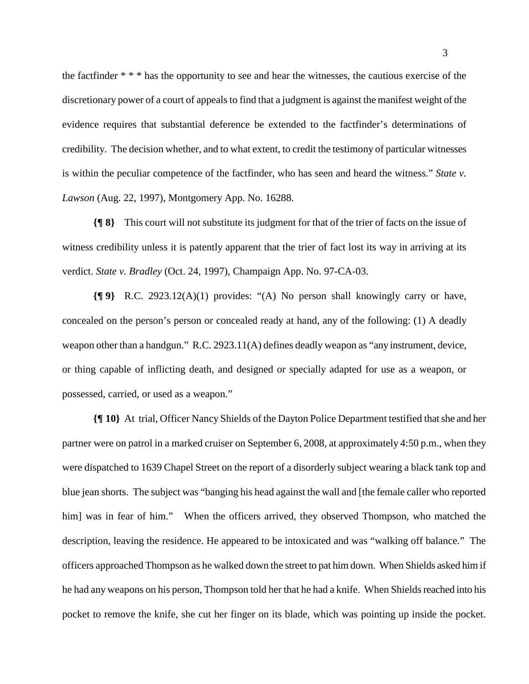the factfinder \* \* \* has the opportunity to see and hear the witnesses, the cautious exercise of the discretionary power of a court of appeals to find that a judgment is against the manifest weight of the evidence requires that substantial deference be extended to the factfinder's determinations of credibility. The decision whether, and to what extent, to credit the testimony of particular witnesses is within the peculiar competence of the factfinder, who has seen and heard the witness." *State v. Lawson* (Aug. 22, 1997), Montgomery App. No. 16288.

**{¶ 8}** This court will not substitute its judgment for that of the trier of facts on the issue of witness credibility unless it is patently apparent that the trier of fact lost its way in arriving at its verdict. *State v. Bradley* (Oct. 24, 1997), Champaign App. No. 97-CA-03.

**{¶ 9}** R.C. 2923.12(A)(1) provides: "(A) No person shall knowingly carry or have, concealed on the person's person or concealed ready at hand, any of the following: (1) A deadly weapon other than a handgun." R.C. 2923.11(A) defines deadly weapon as "any instrument, device, or thing capable of inflicting death, and designed or specially adapted for use as a weapon, or possessed, carried, or used as a weapon."

**{¶ 10}** At trial, Officer Nancy Shields of the Dayton Police Department testified that she and her partner were on patrol in a marked cruiser on September 6, 2008, at approximately 4:50 p.m., when they were dispatched to 1639 Chapel Street on the report of a disorderly subject wearing a black tank top and blue jean shorts. The subject was "banging his head against the wall and [the female caller who reported him] was in fear of him." When the officers arrived, they observed Thompson, who matched the description, leaving the residence. He appeared to be intoxicated and was "walking off balance." The officers approached Thompson as he walked down the street to pat him down. When Shields asked him if he had any weapons on his person, Thompson told her that he had a knife. When Shields reached into his pocket to remove the knife, she cut her finger on its blade, which was pointing up inside the pocket.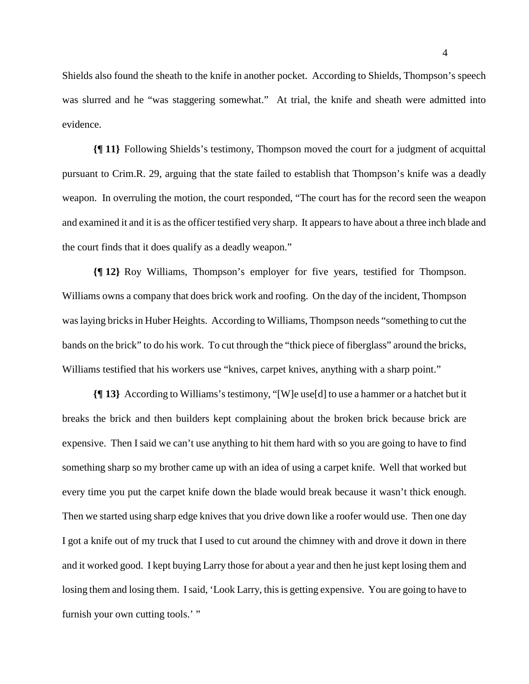Shields also found the sheath to the knife in another pocket. According to Shields, Thompson's speech was slurred and he "was staggering somewhat." At trial, the knife and sheath were admitted into evidence.

**{¶ 11}** Following Shields's testimony, Thompson moved the court for a judgment of acquittal pursuant to Crim.R. 29, arguing that the state failed to establish that Thompson's knife was a deadly weapon. In overruling the motion, the court responded, "The court has for the record seen the weapon and examined it and it is as the officer testified very sharp. It appears to have about a three inch blade and the court finds that it does qualify as a deadly weapon."

**{¶ 12}** Roy Williams, Thompson's employer for five years, testified for Thompson. Williams owns a company that does brick work and roofing. On the day of the incident, Thompson was laying bricks in Huber Heights. According to Williams, Thompson needs "something to cut the bands on the brick" to do his work. To cut through the "thick piece of fiberglass" around the bricks, Williams testified that his workers use "knives, carpet knives, anything with a sharp point."

**{¶ 13}** According to Williams's testimony, "[W]e use[d] to use a hammer or a hatchet but it breaks the brick and then builders kept complaining about the broken brick because brick are expensive. Then I said we can't use anything to hit them hard with so you are going to have to find something sharp so my brother came up with an idea of using a carpet knife. Well that worked but every time you put the carpet knife down the blade would break because it wasn't thick enough. Then we started using sharp edge knives that you drive down like a roofer would use. Then one day I got a knife out of my truck that I used to cut around the chimney with and drove it down in there and it worked good. I kept buying Larry those for about a year and then he just kept losing them and losing them and losing them. I said, 'Look Larry, this is getting expensive. You are going to have to furnish your own cutting tools.' "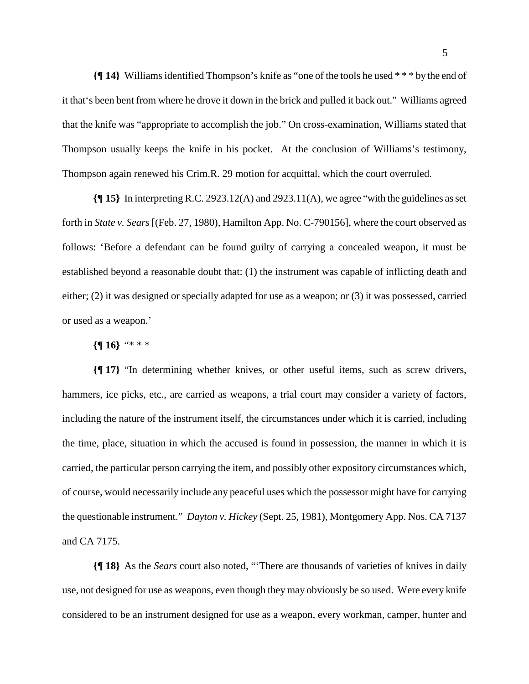**{¶ 14}** Williams identified Thompson's knife as "one of the tools he used \* \* \* by the end of it that's been bent from where he drove it down in the brick and pulled it back out." Williams agreed that the knife was "appropriate to accomplish the job." On cross-examination, Williams stated that Thompson usually keeps the knife in his pocket. At the conclusion of Williams's testimony, Thompson again renewed his Crim.R. 29 motion for acquittal, which the court overruled.

**{¶ 15}** In interpreting R.C. 2923.12(A) and 2923.11(A), we agree "with the guidelines as set forth in *State v. Sears* [(Feb. 27, 1980), Hamilton App. No. C-790156], where the court observed as follows: 'Before a defendant can be found guilty of carrying a concealed weapon, it must be established beyond a reasonable doubt that: (1) the instrument was capable of inflicting death and either; (2) it was designed or specially adapted for use as a weapon; or (3) it was possessed, carried or used as a weapon.'

**{¶ 16}** "\* \* \*

**{¶ 17}** "In determining whether knives, or other useful items, such as screw drivers, hammers, ice picks, etc., are carried as weapons, a trial court may consider a variety of factors, including the nature of the instrument itself, the circumstances under which it is carried, including the time, place, situation in which the accused is found in possession, the manner in which it is carried, the particular person carrying the item, and possibly other expository circumstances which, of course, would necessarily include any peaceful uses which the possessor might have for carrying the questionable instrument." *Dayton v. Hickey* (Sept. 25, 1981), Montgomery App. Nos. CA 7137 and CA 7175.

**{¶ 18}** As the *Sears* court also noted, "'There are thousands of varieties of knives in daily use, not designed for use as weapons, even though they may obviously be so used. Were every knife considered to be an instrument designed for use as a weapon, every workman, camper, hunter and